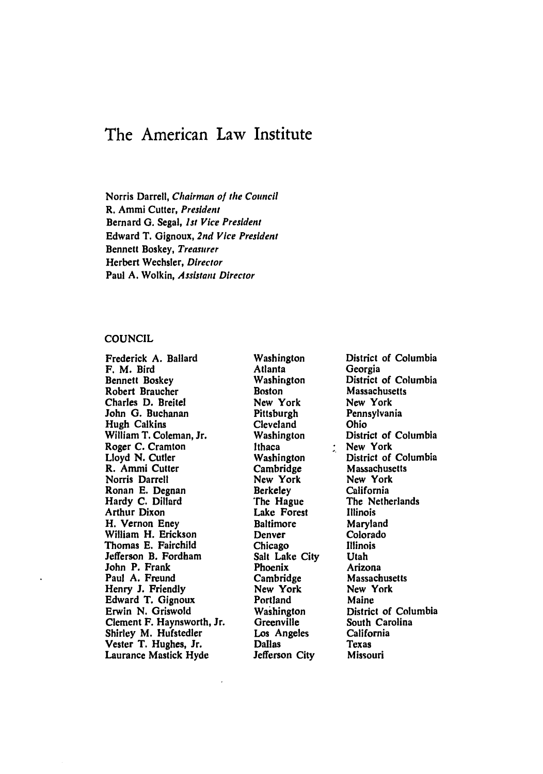# The American Law Institute

Norris Darrell, Chairman of the Council R. Ammi Cutter, President Bernard **G.** Segal, *1st* Vice President Edward T. Gignoux, 2nd Vice President Bennett Boskey, Treasurer Herbert Wechsler, Director Paul **A.** Wolkin, Assistant Director

## **COUNCIL**

Frederick **A.** Ballard F. M. Bird Bennett Boskey Robert Braucher Charles **D.** Breitel John **G.** Buchanan Hugh Calkins William T. Coleman, Jr. Roger **C.** Cramton Lloyd **N.** Cutler R. Ammi Cutter Norris Darrell Ronan **E.** Degnan Hardy **C.** Dillard Arthur Dixon H. Vernon Eney William H. Erickson Thomas **E.** Fairchild Jefferson B. Fordham John P. Frank Paul A. Freund Henry **J.** Friendly Edward T. Gignoux Erwin **N.** Griswold Clement F. Haynsworth, Jr. Shirley M. Hufstedler Vester T. Hughes, Jr. Laurance Mastick Hyde

Washington Atlanta Washington Boston New York Pittsburgh Cleveland Washington Ithaca Washington Cambridge New York Berkeley The Hague Lake Forest Baltimore Denver Chicago Salt Lake City Phoenix Cambridge New York Portland Washington Greenville Los Angeles Dallas Jefferson City

District of Columbia Georgia District of Columbia Massachusetts New York Pennsylvania Ohio District of Columbia New York District of Columbia Massachusetts New York California The Netherlands Illinois Maryland Colorado Illinois Utah Arizona Massachusetts New York Maine District of Columbia South Carolina California Texas Missouri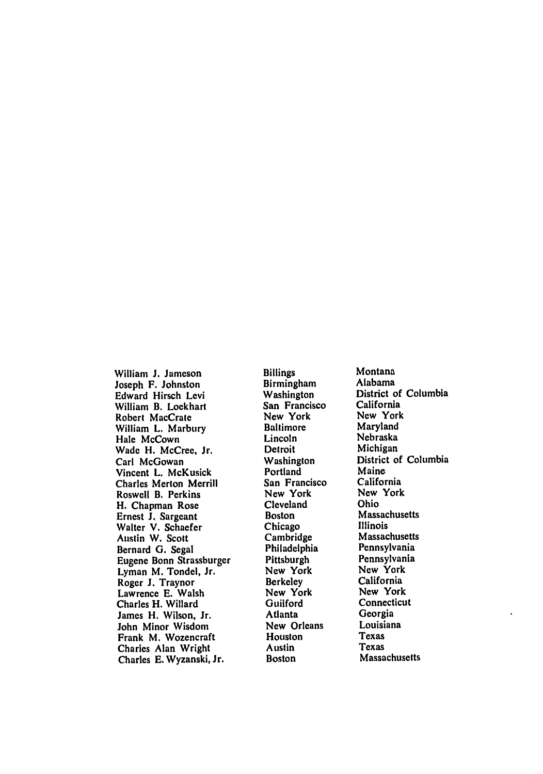William **J.** Jameson Joseph F. Johnston Edward Hirsch Levi William B. Lockhart Robert MacCrate William L. Marbury Hale McCown Wade H. McCree, Jr. Carl McGowan Vincent L. McKusick Charles Merton Merrill Roswell B. Perkins H. Chapman Rose Ernest **J.** Sargeant Walter V. Schaefer Austin W. Scott Bernard **G.** Segal Eugene Bonn Strassburger Lyman M. Tondel, Jr. Roger **J.** Traynor Lawrence **E.** Walsh Charles H. Willard James H. Wilson, Jr. John Minor Wisdom Frank M. Wozencraft Charles Alan Wright Charles **E.** Wyzanski, Jr.

Billings Birmingham Washington San Francisco New York Baltimore Lincoln **Detroit** Washington Portland San Francisco New York Cleveland Boston Chicago Cambridge Philadelphia Pittsburgh New York **Berkeley** New York **Guilford** Atlanta New Orleans Houston Austin **Boston** 

Montana Alabama District of Columbia California New York Maryland Nebraska Michigan District of Columbia Maine California New York Ohio Massachusetts Illinois Massachusetts Pennsylvania Pennsylvania New York California New York Connecticut Georgia Louisiana Texas Texas Massachusetts